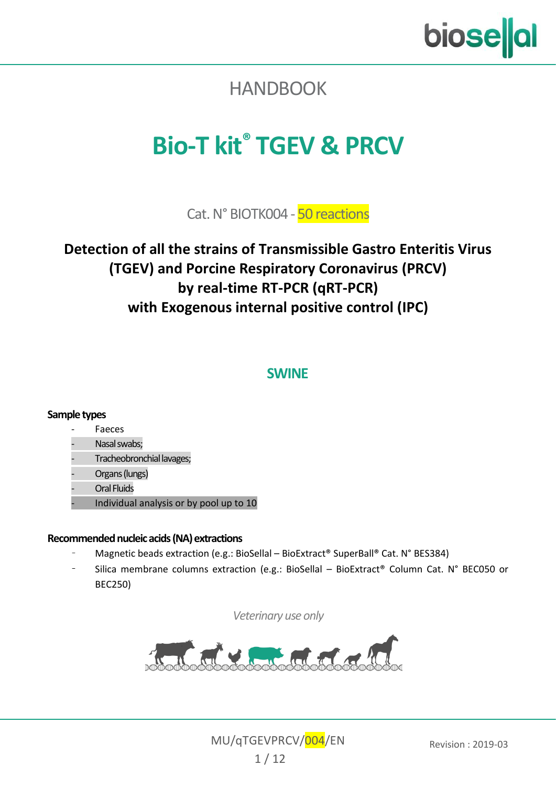

# <span id="page-0-0"></span>**HANDBOOK**

# <span id="page-0-10"></span>**Bio-T kit® [TGEV & PRCV](#page-0-0)**

<span id="page-0-9"></span><span id="page-0-5"></span><span id="page-0-3"></span><span id="page-0-2"></span><span id="page-0-1"></span>Cat. N[° BIOTK004](#page-0-1) - [50](#page-0-2) reactions

#### <span id="page-0-4"></span>**Detection of all the strains of [Transmissible Gastro Enteritis Virus](#page-0-3) [\(TGEV\)](#page-0-4) and [Porcine Respiratory Coronavirus](#page-0-5) [\(PRCV\)](#page-0-6) by real-time [RT-PCR](#page-0-7) [\(qRT-PCR\)](#page-0-8) with [Exogenous](#page-0-9) internal positive control (IPC)**

#### <span id="page-0-8"></span><span id="page-0-7"></span><span id="page-0-6"></span>**SWINE**

#### **Sample types**

#### **Faeces**

#### Nasal swabs;

- Tracheobronchial lavages;
- Organs (lungs)
- **Oral Fluids**
- Individual analysis or by pool up to 10

#### **Recommended nucleic acids(NA) extractions**

- Magnetic beads extraction (e.g.: BioSellal BioExtract® SuperBall® Cat. N° BES384)
- Silica membrane columns extraction (e.g.: BioSellal BioExtract® Column Cat. N° BEC050 or BEC250)

*Veterinary use only*



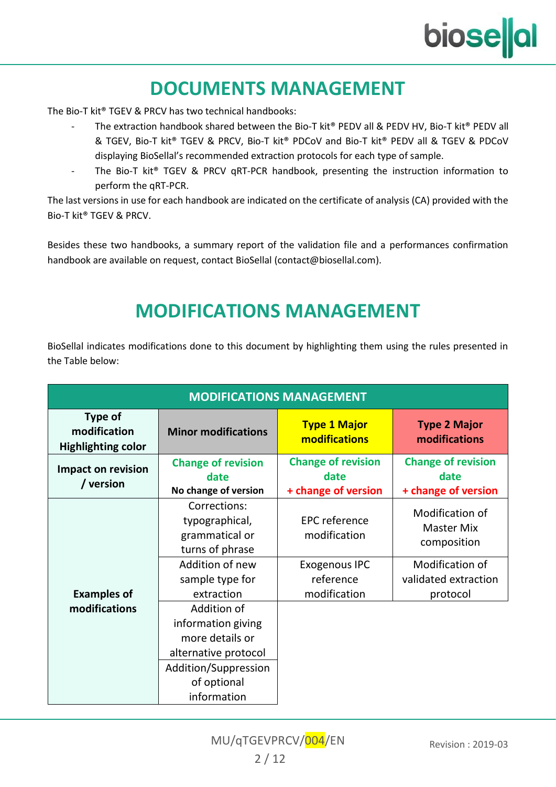# **biose**al

# **DOCUMENTS MANAGEMENT**

The Bio-T kit® TGEV [& PRCV](#page-0-0) has two technical handbooks:

- The extraction handbook shared between the Bio-T kit® PEDV all & PEDV HV, Bio-T kit® PEDV all & TGEV, Bio-T kit® TGEV & PRCV, Bio-T kit® PDCoV and Bio-T kit® PEDV all & TGEV & PDCoV displaying BioSellal's recommended extraction protocols for each type of sample.
- The Bio-T kit® TGEV [& PRCV](#page-0-0) [qRT-PCR](#page-0-8) handbook, presenting the instruction information to perform th[e qRT-PCR.](#page-0-8)

The last versions in use for each handbook are indicated on the certificate of analysis (CA) provided with the Bio-T kit® TGEV [& PRCV.](#page-0-0)

Besides these two handbooks, a summary report of the validation file and a performances confirmation handbook are available on request, contact BioSellal (contact@biosellal.com).

# **MODIFICATIONS MANAGEMENT**

BioSellal indicates modifications done to this document by highlighting them using the rules presented in the Table below:

| <b>MODIFICATIONS MANAGEMENT</b>                      |                                                                                                      |                                                          |                                                          |  |  |
|------------------------------------------------------|------------------------------------------------------------------------------------------------------|----------------------------------------------------------|----------------------------------------------------------|--|--|
| Type of<br>modification<br><b>Highlighting color</b> | <b>Minor modifications</b>                                                                           |                                                          | <b>Type 2 Major</b><br>modifications                     |  |  |
| Impact on revision<br>/ version                      | <b>Change of revision</b><br>date<br>No change of version                                            | <b>Change of revision</b><br>date<br>+ change of version | <b>Change of revision</b><br>date<br>+ change of version |  |  |
| <b>Examples of</b><br>modifications                  | Corrections:<br>typographical,<br>grammatical or<br>turns of phrase                                  | <b>EPC</b> reference<br>modification                     | Modification of<br>Master Mix<br>composition             |  |  |
|                                                      | Addition of new<br>sample type for<br>extraction                                                     | Exogenous IPC<br>reference<br>modification               | Modification of<br>validated extraction<br>protocol      |  |  |
|                                                      | Addition of<br>information giving<br>more details or<br>alternative protocol<br>Addition/Suppression |                                                          |                                                          |  |  |
|                                                      | of optional<br>information                                                                           |                                                          |                                                          |  |  |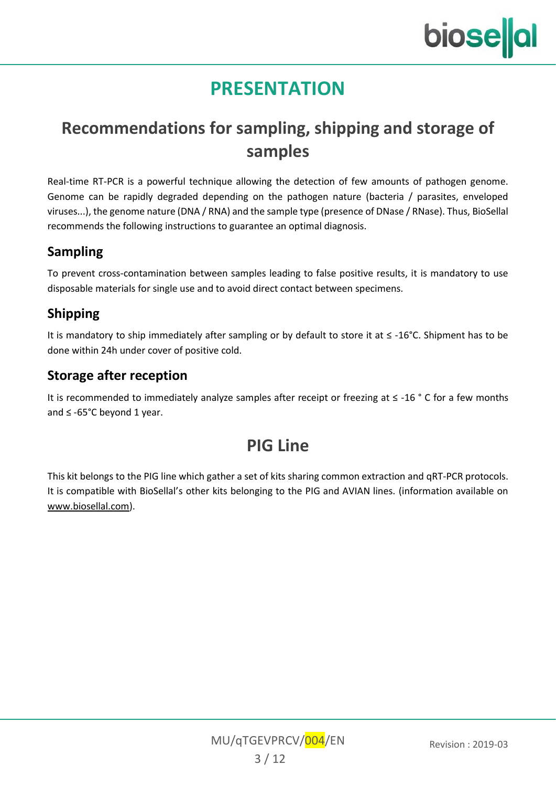# **PRESENTATION**

# **Recommendations for sampling, shipping and storage of samples**

Real-time [RT-PCR](#page-0-7) is a powerful technique allowing the detection of few amounts of pathogen genome. Genome can be rapidly degraded depending on the pathogen nature (bacteria / parasites, enveloped viruses...), the genome nature (DNA / RNA) and the sample type (presence of DNase / RNase). Thus, BioSellal recommends the following instructions to guarantee an optimal diagnosis.

#### **Sampling**

To prevent cross-contamination between samples leading to false positive results, it is mandatory to use disposable materials for single use and to avoid direct contact between specimens.

#### **Shipping**

It is mandatory to ship immediately after sampling or by default to store it at ≤ -16°C. Shipment has to be done within 24h under cover of positive cold.

#### **Storage after reception**

It is recommended to immediately analyze samples after receipt or freezing at ≤ -16 ° C for a few months and ≤ -65°C beyond 1 year.

# **[PIG](#page-0-10) Line**

This kit belongs to th[e PIG](#page-0-10) line which gather a set of kits sharing common extraction an[d qRT-PCR](#page-0-8) protocols. It is compatible with BioSellal's other kits belonging to the PIG and AVIAN lines. (information available on [www.biosellal.com\)](http://www.biosellal.com/).

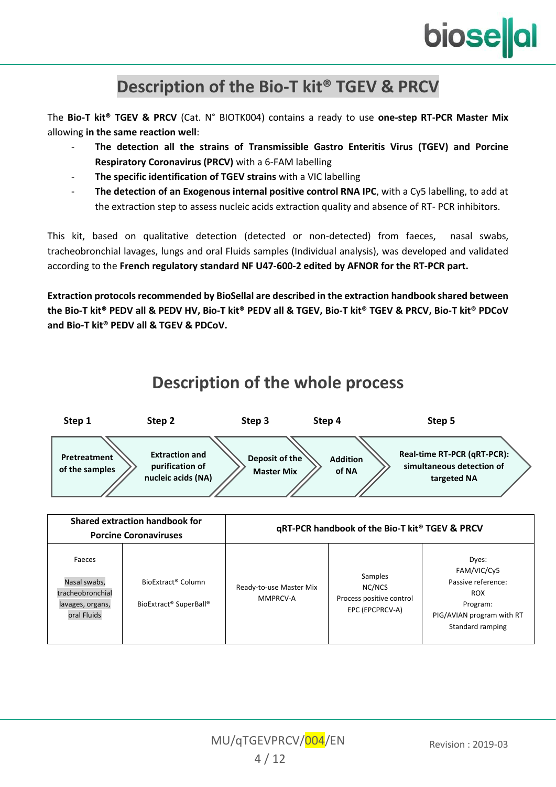

## **Description of the Bio-T kit® TGEV [& PRCV](#page-0-0)**

The **Bio-T kit® TGEV [& PRCV](#page-0-0)** (Cat. N° [BIOTK004\)](#page-0-1) contains a ready to use **one-step RT-PCR Master Mix** allowing **in the same reaction well**:

- **The detection all the strains of [Transmissible Gastro Enteritis Virus](#page-0-3) [\(TGEV\)](#page-0-4) and Porcine Respiratory Coronavirus (PRCV)** with a 6-FAM labelling
- **The specific identification of TGEV strains** with a VIC labelling
- **The detection of an [Exogenous](#page-0-9) internal positive control RNA IPC**, with a Cy5 labelling, to add at the extraction step to assess nucleic acids extraction quality and absence of RT- PCR inhibitors.

This kit, based on qualitative detection (detected or non-detected) from faeces, nasal swabs, tracheobronchial lavages, lungs and oral Fluids samples (Individual analysis), was developed and validated according to the **French regulatory standard NF U47-600-2 edited by AFNOR for the RT-PCR part.**

**Extraction protocols recommended by BioSellal are described in the extraction handbook shared between the Bio-T kit® PEDV all & PEDV HV, Bio-T kit® PEDV all & TGEV, Bio-T kit® TGEV & PRCV, Bio-T kit® PDCoV and Bio-T kit® PEDV all & TGEV & PDCoV.**

## **Description of the whole process**

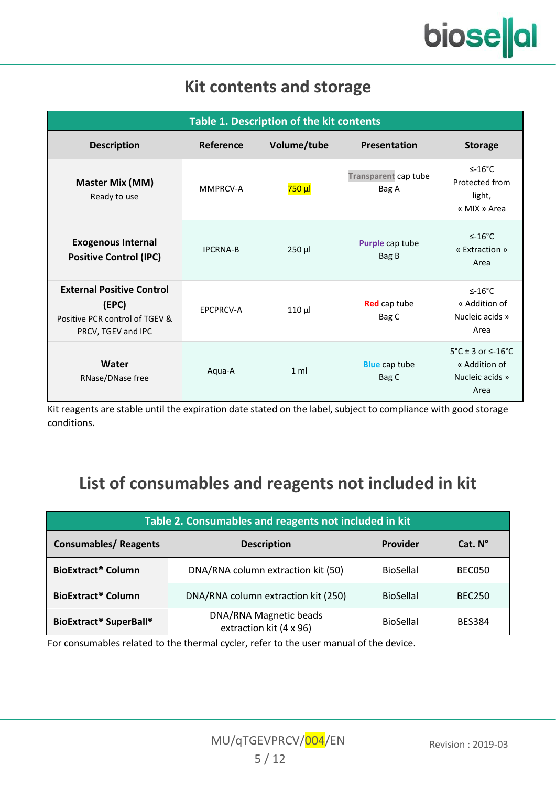# **Kit contents and storage**

| Table 1. Description of the kit contents                                                          |                  |                |                               |                                                                                          |
|---------------------------------------------------------------------------------------------------|------------------|----------------|-------------------------------|------------------------------------------------------------------------------------------|
| <b>Description</b>                                                                                | Reference        | Volume/tube    | Presentation                  | <b>Storage</b>                                                                           |
| Master Mix (MM)<br>Ready to use                                                                   | MMPRCV-A         | <b>750 μl</b>  | Transparent cap tube<br>Bag A | $≤-16°C$<br>Protected from<br>light,<br>« MIX » Area                                     |
| <b>Exogenous Internal</b><br><b>Positive Control (IPC)</b>                                        | <b>IPCRNA-B</b>  | $250$ µ        | Purple cap tube<br>Bag B      | $\leq$ -16°C<br>« Extraction »<br>Area                                                   |
| <b>External Positive Control</b><br>(EPC)<br>Positive PCR control of TGEV &<br>PRCV, TGEV and IPC | <b>EPCPRCV-A</b> | $110 \mu$      | <b>Red</b> cap tube<br>Bag C  | $<$ -16°C<br>« Addition of<br>Nucleic acids »<br>Area                                    |
| Water<br>RNase/DNase free                                                                         | Agua-A           | 1 <sub>m</sub> | <b>Blue</b> cap tube<br>Bag C | $5^{\circ}$ C ± 3 or $\leq$ -16 $^{\circ}$ C<br>« Addition of<br>Nucleic acids »<br>Area |

Kit reagents are stable until the expiration date stated on the label, subject to compliance with good storage conditions.

# **List of consumables and reagents not included in kit**

| Table 2. Consumables and reagents not included in kit                     |                                                   |                  |               |  |  |
|---------------------------------------------------------------------------|---------------------------------------------------|------------------|---------------|--|--|
| <b>Consumables/ Reagents</b><br>Provider<br>Cat. N°<br><b>Description</b> |                                                   |                  |               |  |  |
| BioExtract <sup>®</sup> Column                                            | DNA/RNA column extraction kit (50)                | <b>BioSellal</b> | <b>BEC050</b> |  |  |
| BioExtract <sup>®</sup> Column                                            | DNA/RNA column extraction kit (250)               | <b>BioSellal</b> | <b>BEC250</b> |  |  |
| BioExtract <sup>®</sup> SuperBall <sup>®</sup>                            | DNA/RNA Magnetic beads<br>extraction kit (4 x 96) | BioSellal        | <b>BES384</b> |  |  |

For consumables related to the thermal cycler, refer to the user manual of the device.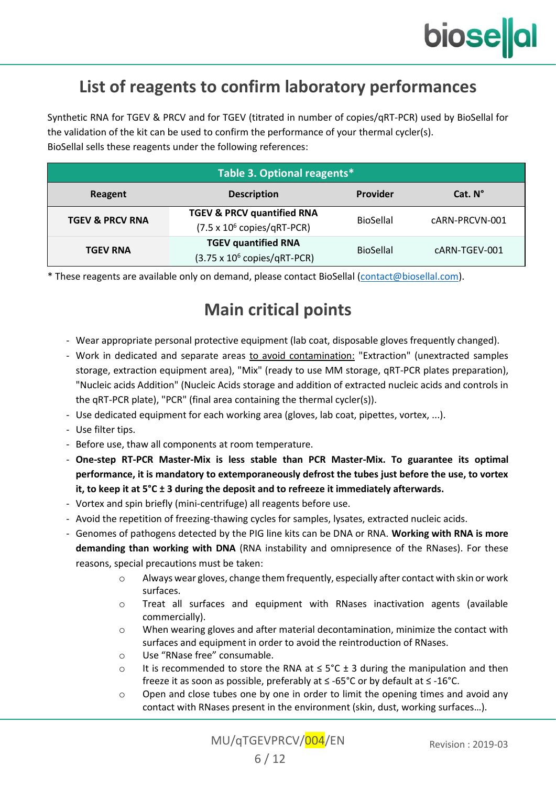

# **List of reagents to confirm laboratory performances**

Synthetic RNA for [TGEV](#page-0-4) & PRCV and for TGEV (titrated in number of copies/[qRT-PCR\)](#page-0-7) used by BioSellal for the validation of the kit can be used to confirm the performance of your thermal cycler(s). BioSellal sells these reagents under the following references:

| Table 3. Optional reagents*                          |                                                                                     |                  |                |  |  |
|------------------------------------------------------|-------------------------------------------------------------------------------------|------------------|----------------|--|--|
| Cat. N°<br>Provider<br><b>Description</b><br>Reagent |                                                                                     |                  |                |  |  |
| <b>TGEV &amp; PRCV RNA</b>                           | <b>TGEV &amp; PRCV quantified RNA</b><br>$(7.5 \times 10^6 \text{ copies/}QRT-PCR)$ | BioSellal        | cARN-PRCVN-001 |  |  |
| <b>TGEV RNA</b>                                      | <b>TGEV quantified RNA</b><br>$(3.75 \times 10^6 \text{ copies/}QRT-PCR)$           | <b>BioSellal</b> | cARN-TGEV-001  |  |  |

\* These reagents are available only on demand, please contact BioSellal [\(contact@biosellal.com\).](mailto:contact@biosellal.com)

#### **Main critical points**

- Wear appropriate personal protective equipment (lab coat, disposable gloves frequently changed).
- Work in dedicated and separate areas to avoid contamination: "Extraction" (unextracted samples storage, extraction equipment area), "Mix" (ready to use MM storage[, qRT-PCR](#page-0-8) plates preparation), "Nucleic acids Addition" (Nucleic Acids storage and addition of extracted nucleic acids and controls in th[e qRT-PCR](#page-0-8) plate), "PCR" (final area containing the thermal cycler(s)).
- Use dedicated equipment for each working area (gloves, lab coat, pipettes, vortex, ...).
- Use filter tips.
- Before use, thaw all components at room temperature.
- **One-step RT-PCR Master-Mix is less stable than PCR Master-Mix. To guarantee its optimal performance, it is mandatory to extemporaneously defrost the tubes just before the use, to vortex it, to keep it at 5°C ± 3 during the deposit and to refreeze it immediately afterwards.**
- Vortex and spin briefly (mini-centrifuge) all reagents before use.
- Avoid the repetition of freezing-thawing cycles for samples, lysates, extracted nucleic acids.
- Genomes of pathogens detected by the PIG line kits can be DNA or RNA. **Working with RNA is more demanding than working with DNA** (RNA instability and omnipresence of the RNases). For these reasons, special precautions must be taken:
	- o Always wear gloves, change them frequently, especially after contact with skin or work surfaces.
	- o Treat all surfaces and equipment with RNases inactivation agents (available commercially).
	- o When wearing gloves and after material decontamination, minimize the contact with surfaces and equipment in order to avoid the reintroduction of RNases.
	- o Use "RNase free" consumable.
	- o It is recommended to store the RNA at  $\leq 5^{\circ}$ C ± 3 during the manipulation and then freeze it as soon as possible, preferably at ≤ -65°C or by default at ≤ -16°C.
	- $\circ$  Open and close tubes one by one in order to limit the opening times and avoid any contact with RNases present in the environment (skin, dust, working surfaces…).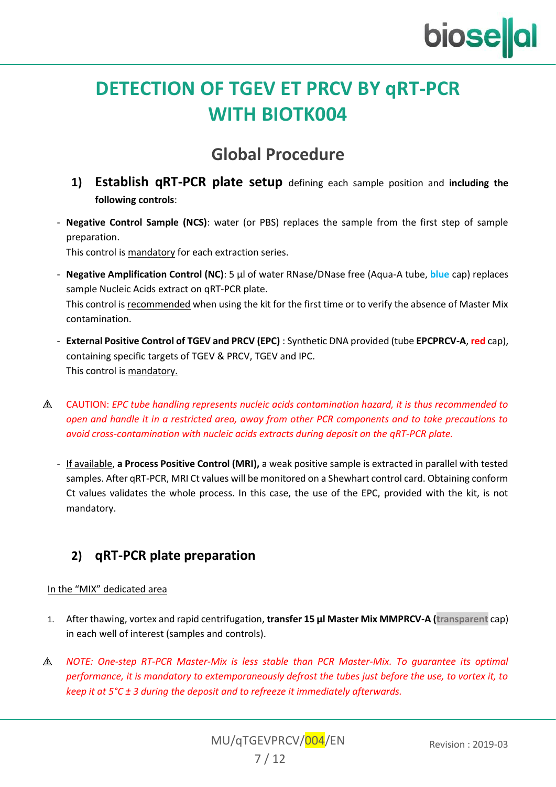

# **DETECTION OF [TGEV](#page-0-4) ET [PRCV](#page-0-6) BY [qRT-PCR](#page-0-8) WITH [BIOTK004](#page-0-1)**

## **Global Procedure**

- **1) Establish [qRT-PCR](#page-0-8) plate setup** defining each sample position and **including the following controls**:
- **Negative Control Sample (NCS)**: water (or PBS) replaces the sample from the first step of sample preparation.

This control is mandatory for each extraction series.

- **Negative Amplification Control (NC)**: 5 µl of water RNase/DNase free (Aqua-A tube, **blue** cap) replaces sample Nucleic Acids extract on [qRT-PCR](#page-0-8) plate. This control is recommended when using the kit for the first time or to verify the absence of Master Mix contamination.
- **External Positive Control of TGEV and PRCV (EPC)** : Synthetic DNA provided (tube **[EPCPRCV-A](#page-0-10)**, **red** cap), containing specific targets o[f TGEV](#page-0-4) & PRCV, TGEV and IPC. This control is mandatory.
- $\wedge$ CAUTION: *EPC tube handling represents nucleic acids contamination hazard, it is thus recommended to open and handle it in a restricted area, away from other PCR components and to take precautions to avoid cross-contamination with nucleic acids extracts during deposit on the [qRT-PCR](#page-0-8) plate.*
	- If available, **a Process Positive Control (MRI),** a weak positive sample is extracted in parallel with tested samples. Afte[r qRT-PCR,](#page-0-8) MRI Ct values will be monitored on a Shewhart control card. Obtaining conform Ct values validates the whole process. In this case, the use of the EPC, provided with the kit, is not mandatory.

#### **2) [qRT-PCR](#page-0-8) plate preparation**

#### In the "MIX" dedicated area

- 1. After thawing, vortex and rapid centrifugation, **transfer 15 µl Master Mi[x MMPRCV-A](#page-0-10) (transparent** cap) in each well of interest (samples and controls).
- $\wedge$ *NOTE: One-step RT-PCR Master-Mix is less stable than PCR Master-Mix. To guarantee its optimal performance, it is mandatory to extemporaneously defrost the tubes just before the use, to vortex it, to keep it at 5°C ± 3 during the deposit and to refreeze it immediately afterwards.*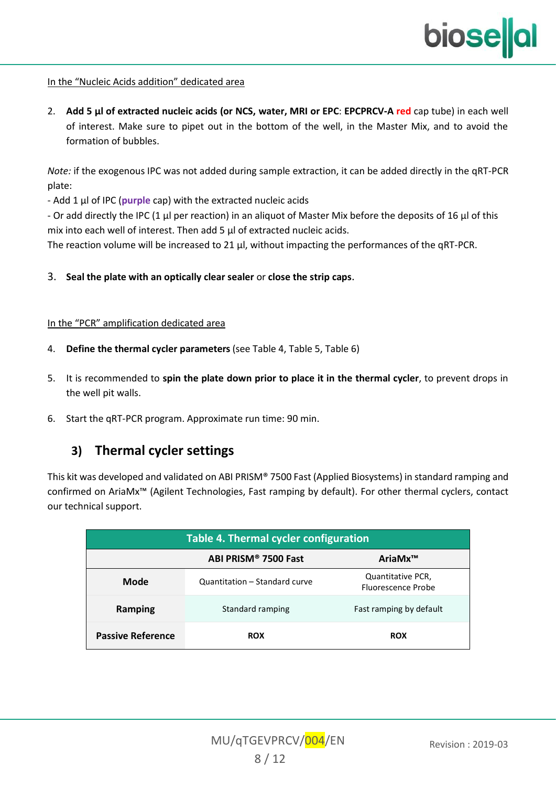#### In the "Nucleic Acids addition" dedicated area

2. **Add 5 µl of extracted nucleic acids (or NCS, water, MRI or EPC**: **[EPCPRCV-A](#page-0-10) red** cap tube) in each well of interest. Make sure to pipet out in the bottom of the well, in the Master Mix, and to avoid the formation of bubbles.

*Note:* if the exogenous IPC was not added during sample extraction, it can be added directly in the [qRT-PCR](#page-0-8) plate:

- Add 1 μl of IPC (**purple** cap) with the extracted nucleic acids

- Or add directly the IPC (1 μl per reaction) in an aliquot of Master Mix before the deposits of 16 μl of this mix into each well of interest. Then add 5 μl of extracted nucleic acids.

The reaction volume will be increased to 21 μl, without impacting the performances of the [qRT-PCR.](#page-0-8)

3. **Seal the plate with an optically clear sealer** or **close the strip caps**.

#### In the "PCR" amplification dedicated area

- 4. **Define the thermal cycler parameters** (se[e Table 4,](#page-7-0) [Table 5,](#page-8-0) [Table 6\)](#page-8-1)
- 5. It is recommended to **spin the plate down prior to place it in the thermal cycler**, to prevent drops in the well pit walls.
- 6. Start th[e qRT-PCR](#page-0-8) program. Approximate run time: 90 min.

#### **3) Thermal cycler settings**

This kit was developed and validated on ABI PRISM® 7500 Fast (Applied Biosystems) in standard ramping and confirmed on AriaMx™ (Agilent Technologies, Fast ramping by default). For other thermal cyclers, contact our technical support.

<span id="page-7-0"></span>

| Table 4. Thermal cycler configuration |                               |                                                |  |  |
|---------------------------------------|-------------------------------|------------------------------------------------|--|--|
| ABI PRISM® 7500 Fast<br>AriaMx™       |                               |                                                |  |  |
| Mode                                  | Quantitation - Standard curve | Quantitative PCR,<br><b>Eluorescence Probe</b> |  |  |
| Ramping                               | Standard ramping              | Fast ramping by default                        |  |  |
| <b>Passive Reference</b>              | <b>ROX</b>                    | <b>ROX</b>                                     |  |  |

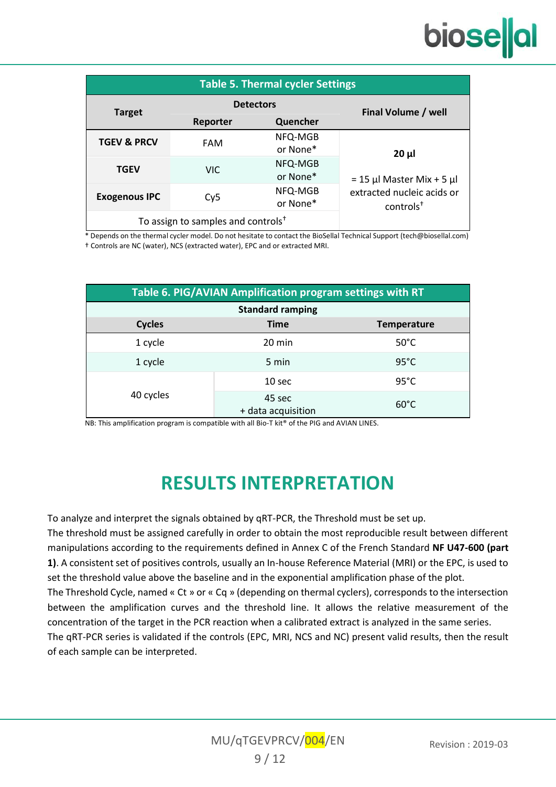# biose**l**al

<span id="page-8-0"></span>

| <b>Table 5. Thermal cycler Settings</b> |                                                |                     |                                                                                   |  |  |
|-----------------------------------------|------------------------------------------------|---------------------|-----------------------------------------------------------------------------------|--|--|
| <b>Target</b>                           | <b>Detectors</b>                               |                     | Final Volume / well                                                               |  |  |
|                                         | Reporter                                       | Quencher            |                                                                                   |  |  |
| <b>TGEV &amp; PRCV</b>                  | <b>FAM</b>                                     | NFQ-MGB<br>or None* | 20 µl                                                                             |  |  |
| <b>TGEV</b>                             | VIC.                                           | NFQ-MGB<br>or None* | $= 15$ µl Master Mix + 5 µl<br>extracted nucleic acids or<br>$controls^{\dagger}$ |  |  |
| <b>Exogenous IPC</b>                    | Cy5                                            | NFQ-MGB<br>or None* |                                                                                   |  |  |
|                                         | To assign to samples and controls <sup>+</sup> |                     |                                                                                   |  |  |

\* Depends on the thermal cycler model. Do not hesitate to contact the BioSellal Technical Support (tech@biosellal.com) † Controls are NC (water), NCS (extracted water), EPC and or extracted MRI.

<span id="page-8-1"></span>

| Table 6. PIG/AVIAN Amplification program settings with RT |                                   |                |  |  |  |
|-----------------------------------------------------------|-----------------------------------|----------------|--|--|--|
|                                                           | <b>Standard ramping</b>           |                |  |  |  |
| Cycles                                                    | <b>Time</b><br><b>Temperature</b> |                |  |  |  |
| 1 cycle                                                   | 20 min                            | $50^{\circ}$ C |  |  |  |
| 1 cycle                                                   | 5 min                             | $95^{\circ}$ C |  |  |  |
| 40 cycles                                                 | 10 <sub>sec</sub>                 | $95^{\circ}$ C |  |  |  |
|                                                           | 45 sec<br>+ data acquisition      | $60^{\circ}$ C |  |  |  |

NB: This amplification program is compatible with all Bio-T kit® of the PIG and AVIAN LINES.

# **RESULTS INTERPRETATION**

To analyze and interpret the signals obtained by [qRT-PCR,](#page-0-8) the Threshold must be set up.

The threshold must be assigned carefully in order to obtain the most reproducible result between different manipulations according to the requirements defined in Annex C of the French Standard **NF U47-600 (part 1)**. A consistent set of positives controls, usually an In-house Reference Material (MRI) or the EPC, is used to set the threshold value above the baseline and in the exponential amplification phase of the plot. The Threshold Cycle, named « Ct » or « Cq » (depending on thermal cyclers), corresponds to the intersection between the amplification curves and the threshold line. It allows the relative measurement of the concentration of the target in the PCR reaction when a calibrated extract is analyzed in the same series. The [qRT-PCR](#page-0-8) series is validated if the controls (EPC, MRI, NCS and NC) present valid results, then the result of each sample can be interpreted.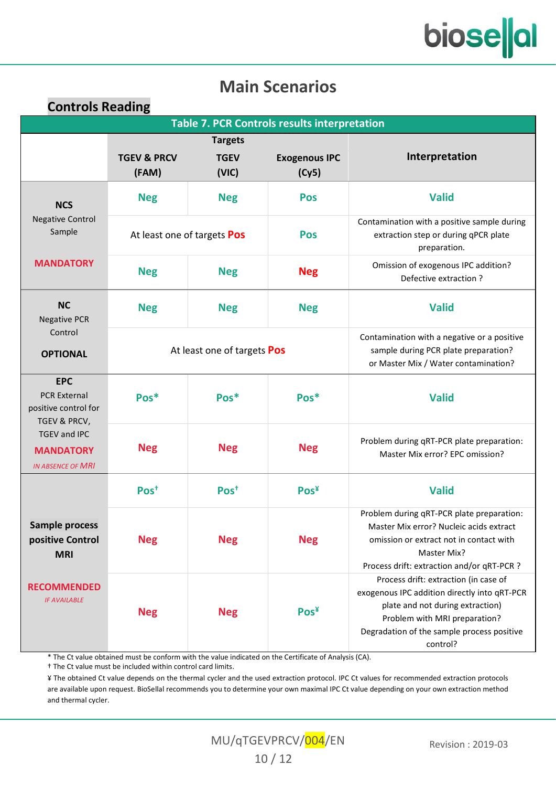# bioselal

## **Main Scenarios**

#### **Controls Reading**

| <b>Table 7. PCR Controls results interpretation</b>                       |                                    |                                        |                                                                                                     |                                                                                                                                                                                                                      |
|---------------------------------------------------------------------------|------------------------------------|----------------------------------------|-----------------------------------------------------------------------------------------------------|----------------------------------------------------------------------------------------------------------------------------------------------------------------------------------------------------------------------|
|                                                                           | <b>TGEV &amp; PRCV</b><br>(FAM)    | <b>Targets</b><br><b>TGEV</b><br>(VIC) | <b>Exogenous IPC</b><br>(Cy5)                                                                       | Interpretation                                                                                                                                                                                                       |
| <b>NCS</b>                                                                | <b>Neg</b>                         | <b>Neg</b>                             | Pos                                                                                                 | <b>Valid</b>                                                                                                                                                                                                         |
| <b>Negative Control</b><br>Sample                                         | At least one of targets Pos<br>Pos |                                        | Contamination with a positive sample during<br>extraction step or during qPCR plate<br>preparation. |                                                                                                                                                                                                                      |
| <b>MANDATORY</b>                                                          | <b>Neg</b>                         | <b>Neg</b>                             | <b>Neg</b>                                                                                          | Omission of exogenous IPC addition?<br>Defective extraction?                                                                                                                                                         |
| <b>NC</b><br><b>Negative PCR</b>                                          | <b>Neg</b>                         | <b>Neg</b>                             | <b>Neg</b>                                                                                          | <b>Valid</b>                                                                                                                                                                                                         |
| Control<br><b>OPTIONAL</b>                                                | At least one of targets Pos        |                                        |                                                                                                     | Contamination with a negative or a positive<br>sample during PCR plate preparation?<br>or Master Mix / Water contamination?                                                                                          |
| <b>EPC</b><br><b>PCR External</b><br>positive control for<br>TGEV & PRCV, | Pos*                               | Pos*                                   | Pos*                                                                                                | <b>Valid</b>                                                                                                                                                                                                         |
| <b>TGEV and IPC</b><br><b>MANDATORY</b><br><b>IN ABSENCE OF MRI</b>       | <b>Neg</b>                         | <b>Neg</b>                             | <b>Neg</b>                                                                                          | Problem during qRT-PCR plate preparation:<br>Master Mix error? EPC omission?                                                                                                                                         |
|                                                                           | $Pos+$                             | $Pos+$                                 | Pos <sup>Y</sup>                                                                                    | <b>Valid</b>                                                                                                                                                                                                         |
| Sample process<br>positive Control<br><b>MRI</b>                          | <b>Neg</b>                         | <b>Neg</b>                             | <b>Neg</b>                                                                                          | Problem during qRT-PCR plate preparation:<br>Master Mix error? Nucleic acids extract<br>omission or extract not in contact with<br>Master Mix?<br>Process drift: extraction and/or qRT-PCR ?                         |
| <b>RECOMMENDED</b><br><b>IF AVAILABLE</b>                                 | <b>Neg</b>                         | <b>Neg</b>                             | Pos <sup>Y</sup>                                                                                    | Process drift: extraction (in case of<br>exogenous IPC addition directly into qRT-PCR<br>plate and not during extraction)<br>Problem with MRI preparation?<br>Degradation of the sample process positive<br>control? |

\* The Ct value obtained must be conform with the value indicated on the Certificate of Analysis (CA).

† The Ct value must be included within control card limits.

¥ The obtained Ct value depends on the thermal cycler and the used extraction protocol. IPC Ct values for recommended extraction protocols are available upon request. BioSellal recommends you to determine your own maximal IPC Ct value depending on your own extraction method and thermal cycler.

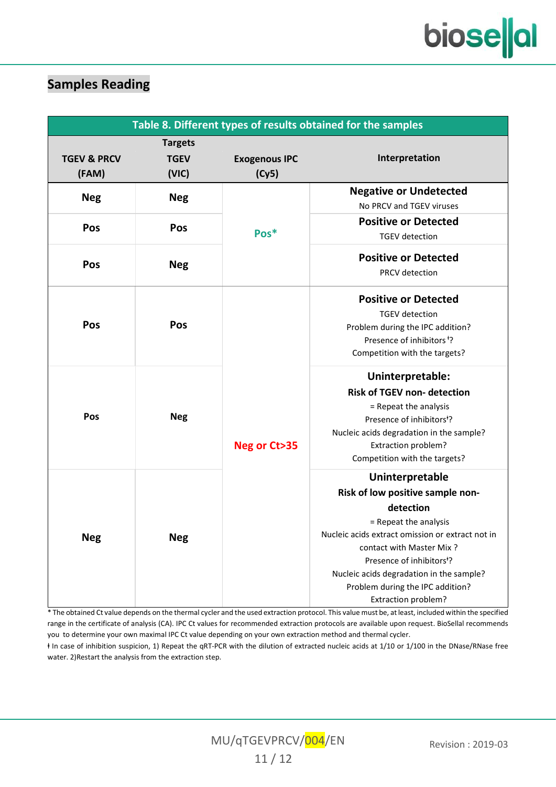#### **Samples Reading**

| Table 8. Different types of results obtained for the samples |                                        |                               |                                                                                                                                                                                                                                                                                                                           |
|--------------------------------------------------------------|----------------------------------------|-------------------------------|---------------------------------------------------------------------------------------------------------------------------------------------------------------------------------------------------------------------------------------------------------------------------------------------------------------------------|
| <b>TGEV &amp; PRCV</b><br>(FAM)                              | <b>Targets</b><br><b>TGEV</b><br>(VIC) | <b>Exogenous IPC</b><br>(Cy5) | Interpretation                                                                                                                                                                                                                                                                                                            |
| <b>Neg</b>                                                   | <b>Neg</b>                             |                               | <b>Negative or Undetected</b><br>No PRCV and TGEV viruses                                                                                                                                                                                                                                                                 |
| Pos                                                          | Pos                                    | Pos*                          | <b>Positive or Detected</b><br><b>TGEV</b> detection                                                                                                                                                                                                                                                                      |
| Pos                                                          | <b>Neg</b>                             |                               | <b>Positive or Detected</b><br><b>PRCV</b> detection                                                                                                                                                                                                                                                                      |
| Pos                                                          | Pos                                    |                               | <b>Positive or Detected</b><br><b>TGEV</b> detection<br>Problem during the IPC addition?<br>Presence of inhibitors <sup>+</sup> ?<br>Competition with the targets?                                                                                                                                                        |
| Pos                                                          | <b>Neg</b>                             | Neg or Ct>35                  | Uninterpretable:<br><b>Risk of TGEV non-detection</b><br>= Repeat the analysis<br>Presence of inhibitors <sup>+</sup> ?<br>Nucleic acids degradation in the sample?<br>Extraction problem?<br>Competition with the targets?                                                                                               |
| <b>Neg</b>                                                   | <b>Neg</b>                             |                               | Uninterpretable<br>Risk of low positive sample non-<br>detection<br>= Repeat the analysis<br>Nucleic acids extract omission or extract not in<br>contact with Master Mix?<br>Presence of inhibitors <sup>+</sup> ?<br>Nucleic acids degradation in the sample?<br>Problem during the IPC addition?<br>Extraction problem? |

\* The obtained Ct value depends on the thermal cycler and the used extraction protocol. This value must be, at least, included within the specified range in the certificate of analysis (CA). IPC Ct values for recommended extraction protocols are available upon request. BioSellal recommends you to determine your own maximal IPC Ct value depending on your own extraction method and thermal cycler.

ⱡ In case of inhibition suspicion, 1) Repeat th[e qRT-PCR](#page-0-8) with the dilution of extracted nucleic acids at 1/10 or 1/100 in the DNase/RNase free water. 2)Restart the analysis from the extraction step.